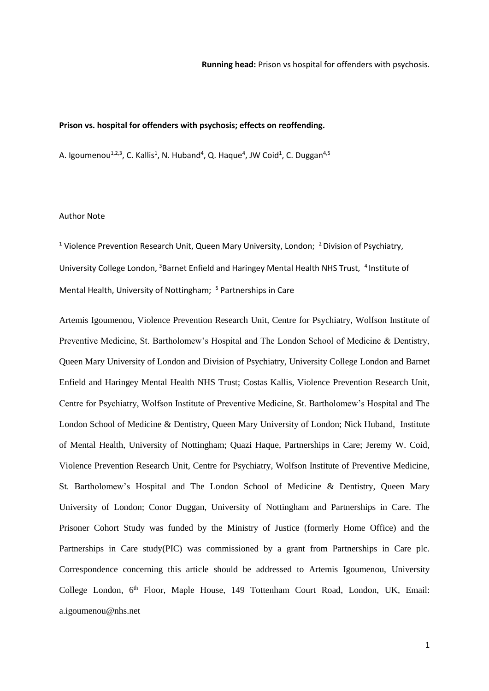### **Prison vs. hospital for offenders with psychosis; effects on reoffending.**

A. Igoumenou $^{1,2,3}$ , C. Kallis<sup>1</sup>, N. Huband<sup>4</sup>, Q. Haque<sup>4</sup>, JW Coid<sup>1</sup>, C. Duggan<sup>4,5</sup>

### Author Note

<sup>1</sup> Violence Prevention Research Unit, Queen Mary University, London; <sup>2</sup> Division of Psychiatry, University College London, <sup>3</sup>Barnet Enfield and Haringey Mental Health NHS Trust, <sup>4</sup> Institute of Mental Health, University of Nottingham; <sup>5</sup> Partnerships in Care

Artemis Igoumenou, Violence Prevention Research Unit, Centre for Psychiatry, Wolfson Institute of Preventive Medicine, St. Bartholomew's Hospital and The London School of Medicine & Dentistry, Queen Mary University of London and Division of Psychiatry, University College London and Barnet Enfield and Haringey Mental Health NHS Trust; Costas Kallis, Violence Prevention Research Unit, Centre for Psychiatry, Wolfson Institute of Preventive Medicine, St. Bartholomew's Hospital and The London School of Medicine & Dentistry, Queen Mary University of London; Nick Huband, Institute of Mental Health, University of Nottingham; Quazi Haque, Partnerships in Care; Jeremy W. Coid, Violence Prevention Research Unit, Centre for Psychiatry, Wolfson Institute of Preventive Medicine, St. Bartholomew's Hospital and The London School of Medicine & Dentistry, Queen Mary University of London; Conor Duggan, University of Nottingham and Partnerships in Care. The Prisoner Cohort Study was funded by the Ministry of Justice (formerly Home Office) and the Partnerships in Care study(PIC) was commissioned by a grant from Partnerships in Care plc. Correspondence concerning this article should be addressed to Artemis Igoumenou, University College London, 6<sup>th</sup> Floor, Maple House, 149 Tottenham Court Road, London, UK, Email: a.igoumenou@nhs.net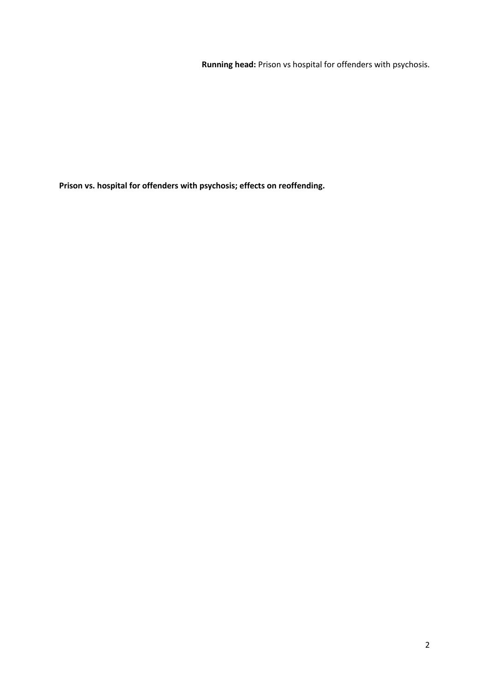**Running head:** Prison vs hospital for offenders with psychosis.

**Prison vs. hospital for offenders with psychosis; effects on reoffending.**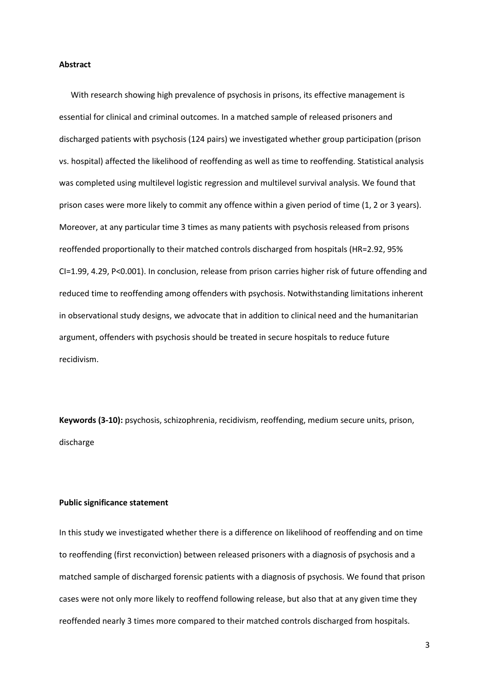### **Abstract**

With research showing high prevalence of psychosis in prisons, its effective management is essential for clinical and criminal outcomes. In a matched sample of released prisoners and discharged patients with psychosis (124 pairs) we investigated whether group participation (prison vs. hospital) affected the likelihood of reoffending as well as time to reoffending. Statistical analysis was completed using multilevel logistic regression and multilevel survival analysis. We found that prison cases were more likely to commit any offence within a given period of time (1, 2 or 3 years). Moreover, at any particular time 3 times as many patients with psychosis released from prisons reoffended proportionally to their matched controls discharged from hospitals (HR=2.92, 95% CI=1.99, 4.29, P<0.001). In conclusion, release from prison carries higher risk of future offending and reduced time to reoffending among offenders with psychosis. Notwithstanding limitations inherent in observational study designs, we advocate that in addition to clinical need and the humanitarian argument, offenders with psychosis should be treated in secure hospitals to reduce future recidivism.

**Keywords (3-10):** psychosis, schizophrenia, recidivism, reoffending, medium secure units, prison, discharge

#### **Public significance statement**

In this study we investigated whether there is a difference on likelihood of reoffending and on time to reoffending (first reconviction) between released prisoners with a diagnosis of psychosis and a matched sample of discharged forensic patients with a diagnosis of psychosis. We found that prison cases were not only more likely to reoffend following release, but also that at any given time they reoffended nearly 3 times more compared to their matched controls discharged from hospitals.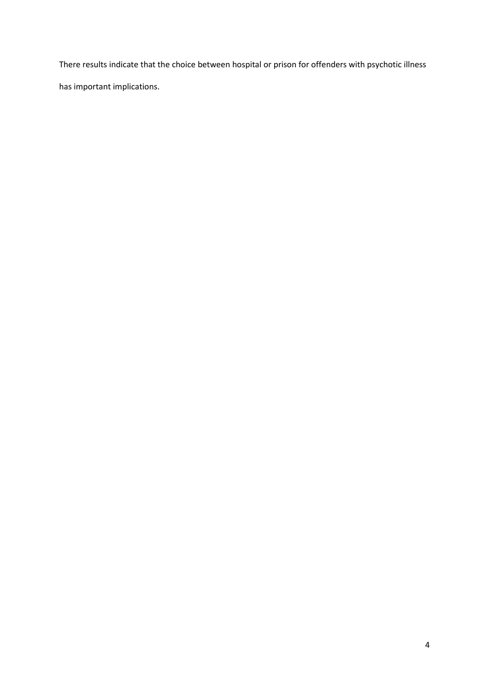There results indicate that the choice between hospital or prison for offenders with psychotic illness

has important implications.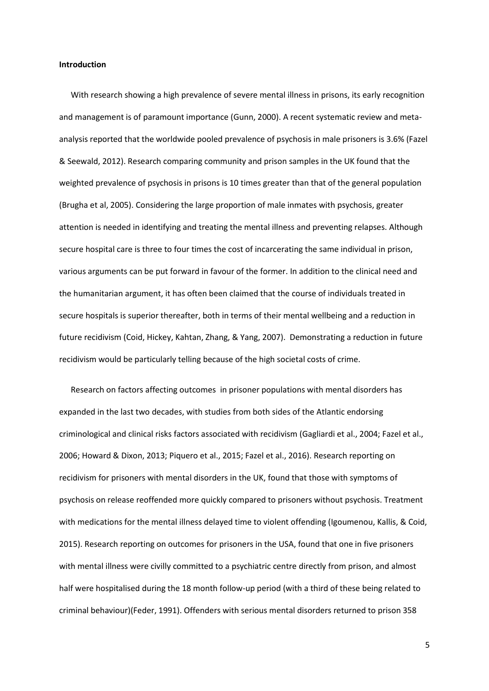### **Introduction**

With research showing a high prevalence of severe mental illness in prisons, its early recognition and management is of paramount importance (Gunn, 2000). A recent systematic review and metaanalysis reported that the worldwide pooled prevalence of psychosis in male prisoners is 3.6% (Fazel & Seewald, 2012). Research comparing community and prison samples in the UK found that the weighted prevalence of psychosis in prisons is 10 times greater than that of the general population (Brugha et al, 2005). Considering the large proportion of male inmates with psychosis, greater attention is needed in identifying and treating the mental illness and preventing relapses. Although secure hospital care is three to four times the cost of incarcerating the same individual in prison, various arguments can be put forward in favour of the former. In addition to the clinical need and the humanitarian argument, it has often been claimed that the course of individuals treated in secure hospitals is superior thereafter, both in terms of their mental wellbeing and a reduction in future recidivism (Coid, Hickey, Kahtan, Zhang, & Yang, 2007). Demonstrating a reduction in future recidivism would be particularly telling because of the high societal costs of crime.

Research on factors affecting outcomes in prisoner populations with mental disorders has expanded in the last two decades, with studies from both sides of the Atlantic endorsing criminological and clinical risks factors associated with recidivism (Gagliardi et al., 2004; Fazel et al., 2006; Howard & Dixon, 2013; Piquero et al., 2015; Fazel et al., 2016). Research reporting on recidivism for prisoners with mental disorders in the UK, found that those with symptoms of psychosis on release reoffended more quickly compared to prisoners without psychosis. Treatment with medications for the mental illness delayed time to violent offending (Igoumenou, Kallis, & Coid, 2015). Research reporting on outcomes for prisoners in the USA, found that one in five prisoners with mental illness were civilly committed to a psychiatric centre directly from prison, and almost half were hospitalised during the 18 month follow-up period (with a third of these being related to criminal behaviour)(Feder, 1991). Offenders with serious mental disorders returned to prison 358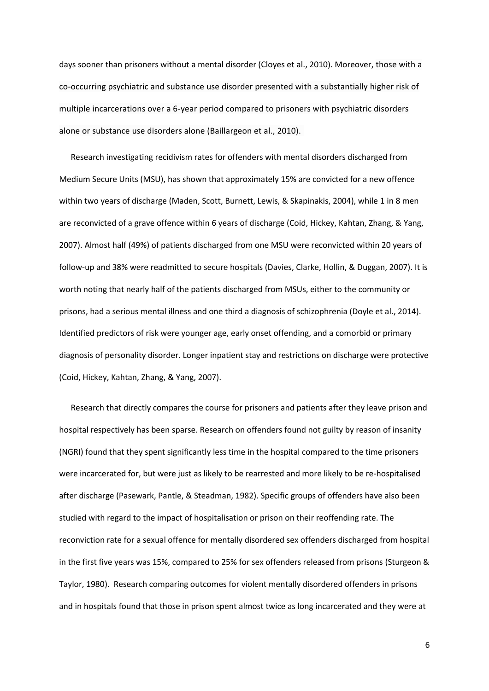days sooner than prisoners without a mental disorder (Cloyes et al., 2010). Moreover, those with a co-occurring psychiatric and substance use disorder presented with a substantially higher risk of multiple incarcerations over a 6-year period compared to prisoners with psychiatric disorders alone or substance use disorders alone (Baillargeon et al., 2010).

Research investigating recidivism rates for offenders with mental disorders discharged from Medium Secure Units (MSU), has shown that approximately 15% are convicted for a new offence within two years of discharge (Maden, Scott, Burnett, Lewis, & Skapinakis, 2004), while 1 in 8 men are reconvicted of a grave offence within 6 years of discharge (Coid, Hickey, Kahtan, Zhang, & Yang, 2007). Almost half (49%) of patients discharged from one MSU were reconvicted within 20 years of follow-up and 38% were readmitted to secure hospitals (Davies, Clarke, Hollin, & Duggan, 2007). It is worth noting that nearly half of the patients discharged from MSUs, either to the community or prisons, had a serious mental illness and one third a diagnosis of schizophrenia (Doyle et al., 2014). Identified predictors of risk were younger age, early onset offending, and a comorbid or primary diagnosis of personality disorder. Longer inpatient stay and restrictions on discharge were protective (Coid, Hickey, Kahtan, Zhang, & Yang, 2007).

Research that directly compares the course for prisoners and patients after they leave prison and hospital respectively has been sparse. Research on offenders found not guilty by reason of insanity (NGRI) found that they spent significantly less time in the hospital compared to the time prisoners were incarcerated for, but were just as likely to be rearrested and more likely to be re-hospitalised after discharge (Pasewark, Pantle, & Steadman, 1982). Specific groups of offenders have also been studied with regard to the impact of hospitalisation or prison on their reoffending rate. The reconviction rate for a sexual offence for mentally disordered sex offenders discharged from hospital in the first five years was 15%, compared to 25% for sex offenders released from prisons (Sturgeon & Taylor, 1980). Research comparing outcomes for violent mentally disordered offenders in prisons and in hospitals found that those in prison spent almost twice as long incarcerated and they were at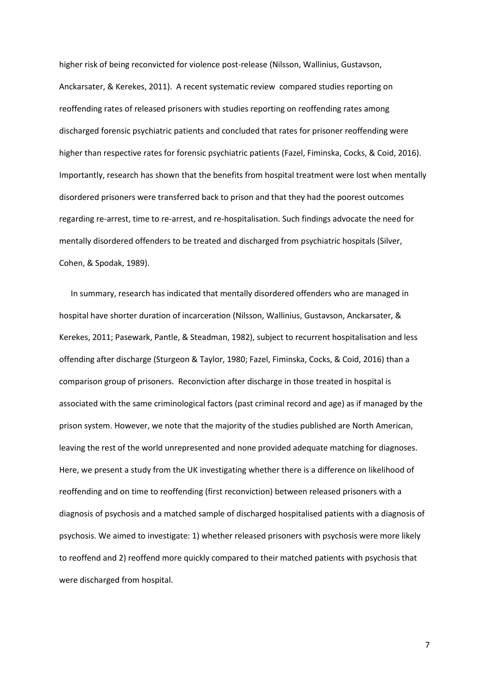higher risk of being reconvicted for violence post-release (Nilsson, Wallinius, Gustavson, Anckarsater, & Kerekes, 2011). A recent systematic review compared studies reporting on reoffending rates of released prisoners with studies reporting on reoffending rates among discharged forensic psychiatric patients and concluded that rates for prisoner reoffending were higher than respective rates for forensic psychiatric patients (Fazel, Fiminska, Cocks, & Coid, 2016). Importantly, research has shown that the benefits from hospital treatment were lost when mentally disordered prisoners were transferred back to prison and that they had the poorest outcomes regarding re-arrest, time to re-arrest, and re-hospitalisation. Such findings advocate the need for mentally disordered offenders to be treated and discharged from psychiatric hospitals (Silver, Cohen, & Spodak, 1989).

In summary, research has indicated that mentally disordered offenders who are managed in hospital have shorter duration of incarceration (Nilsson, Wallinius, Gustavson, Anckarsater, & Kerekes, 2011; Pasewark, Pantle, & Steadman, 1982), subject to recurrent hospitalisation and less offending after discharge (Sturgeon & Taylor, 1980; Fazel, Fiminska, Cocks, & Coid, 2016) than a comparison group of prisoners. Reconviction after discharge in those treated in hospital is associated with the same criminological factors (past criminal record and age) as if managed by the prison system. However, we note that the majority of the studies published are North American, leaving the rest of the world unrepresented and none provided adequate matching for diagnoses. Here, we present a study from the UK investigating whether there is a difference on likelihood of reoffending and on time to reoffending (first reconviction) between released prisoners with a diagnosis of psychosis and a matched sample of discharged hospitalised patients with a diagnosis of psychosis. We aimed to investigate: 1) whether released prisoners with psychosis were more likely to reoffend and 2) reoffend more quickly compared to their matched patients with psychosis that were discharged from hospital.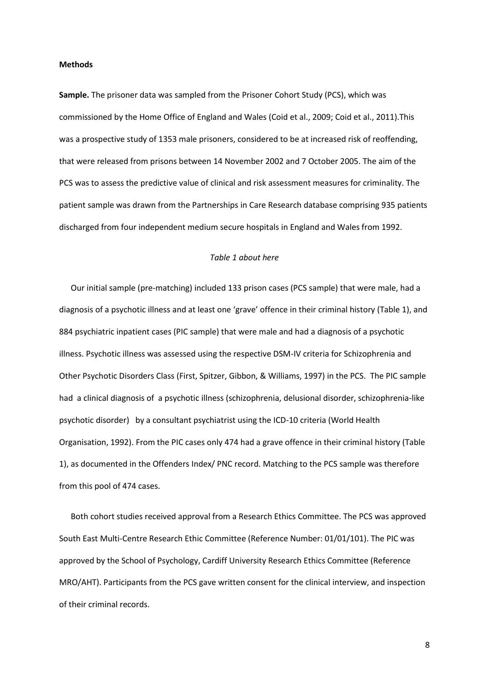#### **Methods**

**Sample.** The prisoner data was sampled from the Prisoner Cohort Study (PCS), which was commissioned by the Home Office of England and Wales (Coid et al., 2009; Coid et al., 2011).This was a prospective study of 1353 male prisoners, considered to be at increased risk of reoffending, that were released from prisons between 14 November 2002 and 7 October 2005. The aim of the PCS was to assess the predictive value of clinical and risk assessment measures for criminality. The patient sample was drawn from the Partnerships in Care Research database comprising 935 patients discharged from four independent medium secure hospitals in England and Wales from 1992.

### *Table 1 about here*

Our initial sample (pre-matching) included 133 prison cases (PCS sample) that were male, had a diagnosis of a psychotic illness and at least one 'grave' offence in their criminal history (Table 1), and 884 psychiatric inpatient cases (PIC sample) that were male and had a diagnosis of a psychotic illness. Psychotic illness was assessed using the respective DSM-IV criteria for Schizophrenia and Other Psychotic Disorders Class (First, Spitzer, Gibbon, & Williams, 1997) in the PCS. The PIC sample had a clinical diagnosis of a psychotic illness (schizophrenia, delusional disorder, schizophrenia-like psychotic disorder) by a consultant psychiatrist using the ICD-10 criteria (World Health Organisation, 1992). From the PIC cases only 474 had a grave offence in their criminal history (Table 1), as documented in the Offenders Index/ PNC record. Matching to the PCS sample was therefore from this pool of 474 cases.

Both cohort studies received approval from a Research Ethics Committee. The PCS was approved South East Multi-Centre Research Ethic Committee (Reference Number: 01/01/101). The PIC was approved by the School of Psychology, Cardiff University Research Ethics Committee (Reference MRO/AHT). Participants from the PCS gave written consent for the clinical interview, and inspection of their criminal records.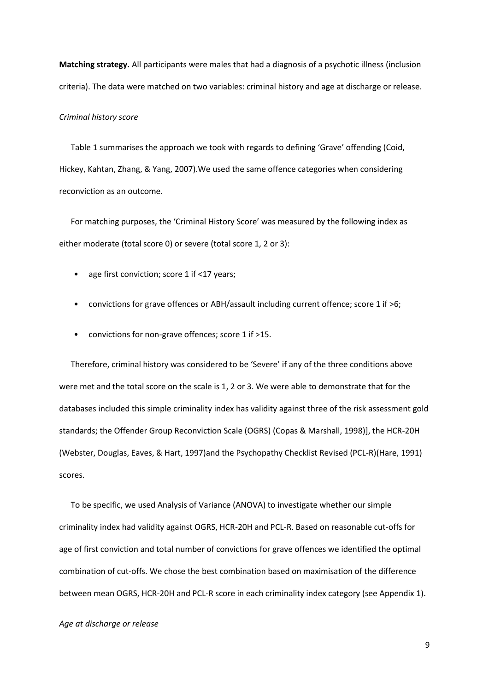**Matching strategy.** All participants were males that had a diagnosis of a psychotic illness (inclusion criteria). The data were matched on two variables: criminal history and age at discharge or release.

#### *Criminal history score*

Table 1 summarises the approach we took with regards to defining 'Grave' offending (Coid, Hickey, Kahtan, Zhang, & Yang, 2007).We used the same offence categories when considering reconviction as an outcome.

For matching purposes, the 'Criminal History Score' was measured by the following index as either moderate (total score 0) or severe (total score 1, 2 or 3):

- age first conviction; score 1 if <17 years;
- convictions for grave offences or ABH/assault including current offence; score 1 if >6;
- convictions for non-grave offences; score 1 if >15.

Therefore, criminal history was considered to be 'Severe' if any of the three conditions above were met and the total score on the scale is 1, 2 or 3. We were able to demonstrate that for the databases included this simple criminality index has validity against three of the risk assessment gold standards; the Offender Group Reconviction Scale (OGRS) (Copas & Marshall, 1998)], the HCR-20H (Webster, Douglas, Eaves, & Hart, 1997)and the Psychopathy Checklist Revised (PCL-R)(Hare, 1991) scores.

To be specific, we used Analysis of Variance (ANOVA) to investigate whether our simple criminality index had validity against OGRS, HCR-20H and PCL-R. Based on reasonable cut-offs for age of first conviction and total number of convictions for grave offences we identified the optimal combination of cut-offs. We chose the best combination based on maximisation of the difference between mean OGRS, HCR-20H and PCL-R score in each criminality index category (see Appendix 1).

### *Age at discharge or release*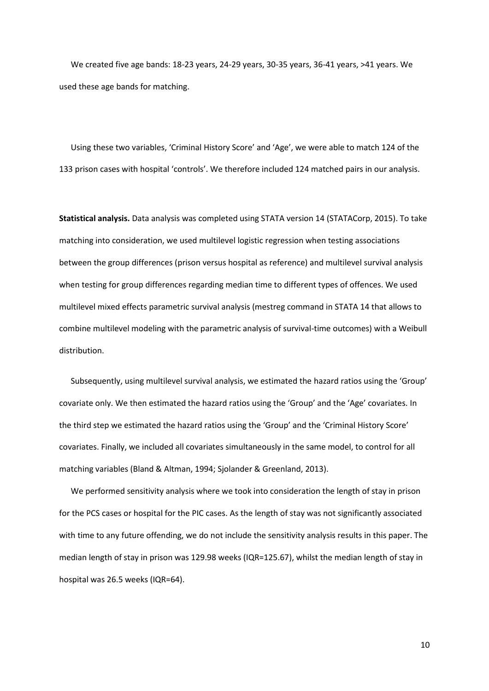We created five age bands: 18-23 years, 24-29 years, 30-35 years, 36-41 years, >41 years. We used these age bands for matching.

Using these two variables, 'Criminal History Score' and 'Age', we were able to match 124 of the 133 prison cases with hospital 'controls'. We therefore included 124 matched pairs in our analysis.

**Statistical analysis.** Data analysis was completed using STATA version 14 (STATACorp, 2015). To take matching into consideration, we used multilevel logistic regression when testing associations between the group differences (prison versus hospital as reference) and multilevel survival analysis when testing for group differences regarding median time to different types of offences. We used multilevel mixed effects parametric survival analysis (mestreg command in STATA 14 that allows to combine multilevel modeling with the parametric analysis of survival-time outcomes) with a Weibull distribution.

Subsequently, using multilevel survival analysis, we estimated the hazard ratios using the 'Group' covariate only. We then estimated the hazard ratios using the 'Group' and the 'Age' covariates. In the third step we estimated the hazard ratios using the 'Group' and the 'Criminal History Score' covariates. Finally, we included all covariates simultaneously in the same model, to control for all matching variables (Bland & Altman, 1994; Sjolander & Greenland, 2013).

We performed sensitivity analysis where we took into consideration the length of stay in prison for the PCS cases or hospital for the PIC cases. As the length of stay was not significantly associated with time to any future offending, we do not include the sensitivity analysis results in this paper. The median length of stay in prison was 129.98 weeks (IQR=125.67), whilst the median length of stay in hospital was 26.5 weeks (IQR=64).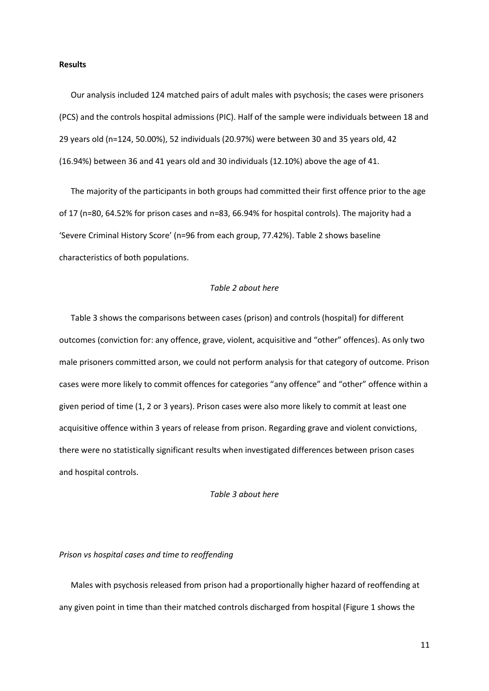### **Results**

Our analysis included 124 matched pairs of adult males with psychosis; the cases were prisoners (PCS) and the controls hospital admissions (PIC). Half of the sample were individuals between 18 and 29 years old (n=124, 50.00%), 52 individuals (20.97%) were between 30 and 35 years old, 42 (16.94%) between 36 and 41 years old and 30 individuals (12.10%) above the age of 41.

The majority of the participants in both groups had committed their first offence prior to the age of 17 (n=80, 64.52% for prison cases and n=83, 66.94% for hospital controls). The majority had a 'Severe Criminal History Score' (n=96 from each group, 77.42%). Table 2 shows baseline characteristics of both populations.

### *Table 2 about here*

Table 3 shows the comparisons between cases (prison) and controls (hospital) for different outcomes (conviction for: any offence, grave, violent, acquisitive and "other" offences). As only two male prisoners committed arson, we could not perform analysis for that category of outcome. Prison cases were more likely to commit offences for categories "any offence" and "other" offence within a given period of time (1, 2 or 3 years). Prison cases were also more likely to commit at least one acquisitive offence within 3 years of release from prison. Regarding grave and violent convictions, there were no statistically significant results when investigated differences between prison cases and hospital controls.

### *Table 3 about here*

### *Prison vs hospital cases and time to reoffending*

Males with psychosis released from prison had a proportionally higher hazard of reoffending at any given point in time than their matched controls discharged from hospital (Figure 1 shows the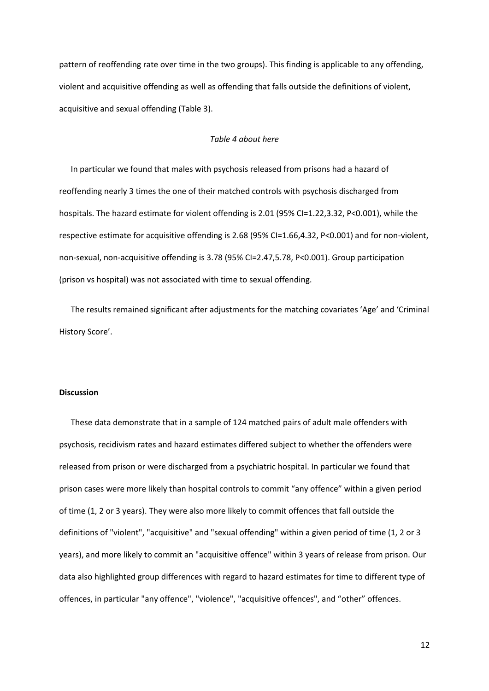pattern of reoffending rate over time in the two groups). This finding is applicable to any offending, violent and acquisitive offending as well as offending that falls outside the definitions of violent, acquisitive and sexual offending (Table 3).

# *Table 4 about here*

In particular we found that males with psychosis released from prisons had a hazard of reoffending nearly 3 times the one of their matched controls with psychosis discharged from hospitals. The hazard estimate for violent offending is 2.01 (95% CI=1.22,3.32, P<0.001), while the respective estimate for acquisitive offending is 2.68 (95% CI=1.66,4.32, P<0.001) and for non-violent, non-sexual, non-acquisitive offending is 3.78 (95% CI=2.47,5.78, P<0.001). Group participation (prison vs hospital) was not associated with time to sexual offending.

The results remained significant after adjustments for the matching covariates 'Age' and 'Criminal History Score'.

## **Discussion**

These data demonstrate that in a sample of 124 matched pairs of adult male offenders with psychosis, recidivism rates and hazard estimates differed subject to whether the offenders were released from prison or were discharged from a psychiatric hospital. In particular we found that prison cases were more likely than hospital controls to commit "any offence" within a given period of time (1, 2 or 3 years). They were also more likely to commit offences that fall outside the definitions of "violent", "acquisitive" and "sexual offending" within a given period of time (1, 2 or 3 years), and more likely to commit an "acquisitive offence" within 3 years of release from prison. Our data also highlighted group differences with regard to hazard estimates for time to different type of offences, in particular "any offence", "violence", "acquisitive offences", and "other" offences.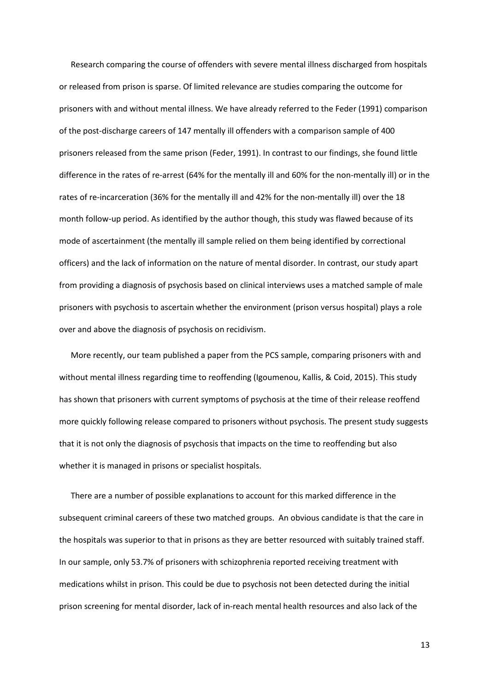Research comparing the course of offenders with severe mental illness discharged from hospitals or released from prison is sparse. Of limited relevance are studies comparing the outcome for prisoners with and without mental illness. We have already referred to the Feder (1991) comparison of the post-discharge careers of 147 mentally ill offenders with a comparison sample of 400 prisoners released from the same prison (Feder, 1991). In contrast to our findings, she found little difference in the rates of re-arrest (64% for the mentally ill and 60% for the non-mentally ill) or in the rates of re-incarceration (36% for the mentally ill and 42% for the non-mentally ill) over the 18 month follow-up period. As identified by the author though, this study was flawed because of its mode of ascertainment (the mentally ill sample relied on them being identified by correctional officers) and the lack of information on the nature of mental disorder. In contrast, our study apart from providing a diagnosis of psychosis based on clinical interviews uses a matched sample of male prisoners with psychosis to ascertain whether the environment (prison versus hospital) plays a role over and above the diagnosis of psychosis on recidivism.

More recently, our team published a paper from the PCS sample, comparing prisoners with and without mental illness regarding time to reoffending (Igoumenou, Kallis, & Coid, 2015). This study has shown that prisoners with current symptoms of psychosis at the time of their release reoffend more quickly following release compared to prisoners without psychosis. The present study suggests that it is not only the diagnosis of psychosis that impacts on the time to reoffending but also whether it is managed in prisons or specialist hospitals.

There are a number of possible explanations to account for this marked difference in the subsequent criminal careers of these two matched groups. An obvious candidate is that the care in the hospitals was superior to that in prisons as they are better resourced with suitably trained staff. In our sample, only 53.7% of prisoners with schizophrenia reported receiving treatment with medications whilst in prison. This could be due to psychosis not been detected during the initial prison screening for mental disorder, lack of in-reach mental health resources and also lack of the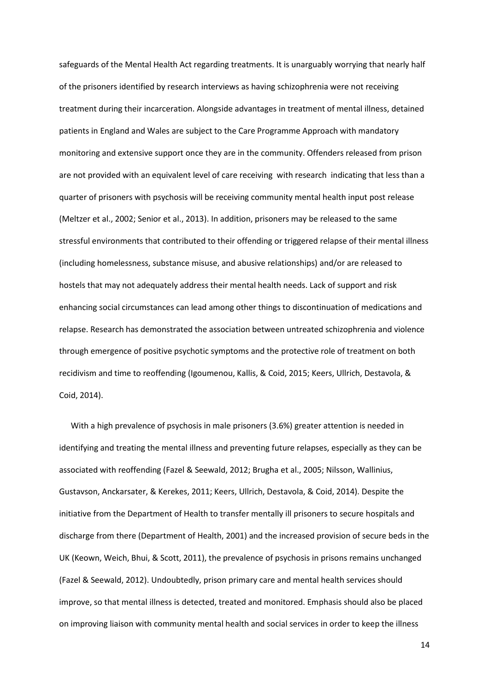safeguards of the Mental Health Act regarding treatments. It is unarguably worrying that nearly half of the prisoners identified by research interviews as having schizophrenia were not receiving treatment during their incarceration. Alongside advantages in treatment of mental illness, detained patients in England and Wales are subject to the Care Programme Approach with mandatory monitoring and extensive support once they are in the community. Offenders released from prison are not provided with an equivalent level of care receiving with research indicating that less than a quarter of prisoners with psychosis will be receiving community mental health input post release (Meltzer et al., 2002; Senior et al., 2013). In addition, prisoners may be released to the same stressful environments that contributed to their offending or triggered relapse of their mental illness (including homelessness, substance misuse, and abusive relationships) and/or are released to hostels that may not adequately address their mental health needs. Lack of support and risk enhancing social circumstances can lead among other things to discontinuation of medications and relapse. Research has demonstrated the association between untreated schizophrenia and violence through emergence of positive psychotic symptoms and the protective role of treatment on both recidivism and time to reoffending (Igoumenou, Kallis, & Coid, 2015; Keers, Ullrich, Destavola, & Coid, 2014).

With a high prevalence of psychosis in male prisoners (3.6%) greater attention is needed in identifying and treating the mental illness and preventing future relapses, especially as they can be associated with reoffending (Fazel & Seewald, 2012; Brugha et al., 2005; Nilsson, Wallinius, Gustavson, Anckarsater, & Kerekes, 2011; Keers, Ullrich, Destavola, & Coid, 2014). Despite the initiative from the Department of Health to transfer mentally ill prisoners to secure hospitals and discharge from there (Department of Health, 2001) and the increased provision of secure beds in the UK (Keown, Weich, Bhui, & Scott, 2011), the prevalence of psychosis in prisons remains unchanged (Fazel & Seewald, 2012). Undoubtedly, prison primary care and mental health services should improve, so that mental illness is detected, treated and monitored. Emphasis should also be placed on improving liaison with community mental health and social services in order to keep the illness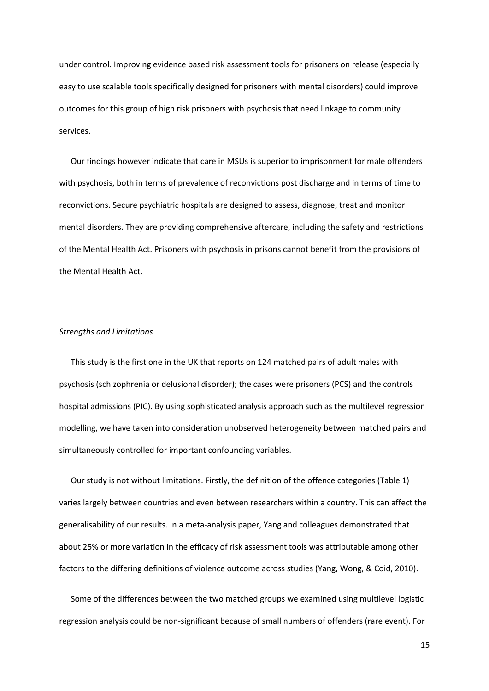under control. Improving evidence based risk assessment tools for prisoners on release (especially easy to use scalable tools specifically designed for prisoners with mental disorders) could improve outcomes for this group of high risk prisoners with psychosis that need linkage to community services.

Our findings however indicate that care in MSUs is superior to imprisonment for male offenders with psychosis, both in terms of prevalence of reconvictions post discharge and in terms of time to reconvictions. Secure psychiatric hospitals are designed to assess, diagnose, treat and monitor mental disorders. They are providing comprehensive aftercare, including the safety and restrictions of the Mental Health Act. Prisoners with psychosis in prisons cannot benefit from the provisions of the Mental Health Act.

### *Strengths and Limitations*

This study is the first one in the UK that reports on 124 matched pairs of adult males with psychosis (schizophrenia or delusional disorder); the cases were prisoners (PCS) and the controls hospital admissions (PIC). By using sophisticated analysis approach such as the multilevel regression modelling, we have taken into consideration unobserved heterogeneity between matched pairs and simultaneously controlled for important confounding variables.

Our study is not without limitations. Firstly, the definition of the offence categories (Table 1) varies largely between countries and even between researchers within a country. This can affect the generalisability of our results. In a meta-analysis paper, Yang and colleagues demonstrated that about 25% or more variation in the efficacy of risk assessment tools was attributable among other factors to the differing definitions of violence outcome across studies (Yang, Wong, & Coid, 2010).

Some of the differences between the two matched groups we examined using multilevel logistic regression analysis could be non-significant because of small numbers of offenders (rare event). For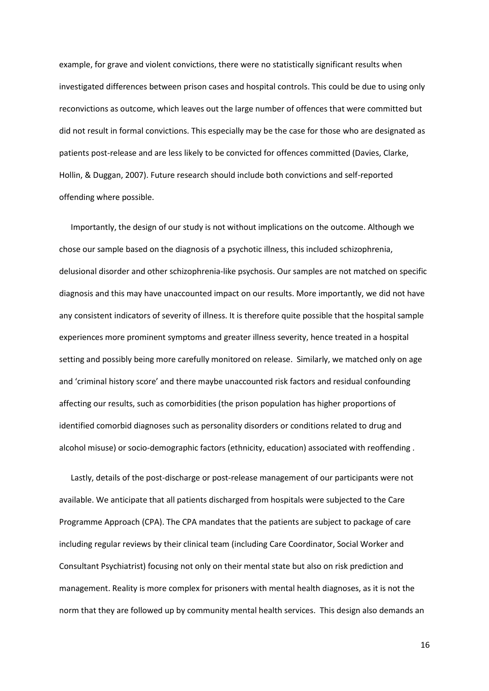example, for grave and violent convictions, there were no statistically significant results when investigated differences between prison cases and hospital controls. This could be due to using only reconvictions as outcome, which leaves out the large number of offences that were committed but did not result in formal convictions. This especially may be the case for those who are designated as patients post-release and are less likely to be convicted for offences committed (Davies, Clarke, Hollin, & Duggan, 2007). Future research should include both convictions and self-reported offending where possible.

Importantly, the design of our study is not without implications on the outcome. Although we chose our sample based on the diagnosis of a psychotic illness, this included schizophrenia, delusional disorder and other schizophrenia-like psychosis. Our samples are not matched on specific diagnosis and this may have unaccounted impact on our results. More importantly, we did not have any consistent indicators of severity of illness. It is therefore quite possible that the hospital sample experiences more prominent symptoms and greater illness severity, hence treated in a hospital setting and possibly being more carefully monitored on release. Similarly, we matched only on age and 'criminal history score' and there maybe unaccounted risk factors and residual confounding affecting our results, such as comorbidities (the prison population has higher proportions of identified comorbid diagnoses such as personality disorders or conditions related to drug and alcohol misuse) or socio-demographic factors (ethnicity, education) associated with reoffending .

Lastly, details of the post-discharge or post-release management of our participants were not available. We anticipate that all patients discharged from hospitals were subjected to the Care Programme Approach (CPA). The CPA mandates that the patients are subject to package of care including regular reviews by their clinical team (including Care Coordinator, Social Worker and Consultant Psychiatrist) focusing not only on their mental state but also on risk prediction and management. Reality is more complex for prisoners with mental health diagnoses, as it is not the norm that they are followed up by community mental health services. This design also demands an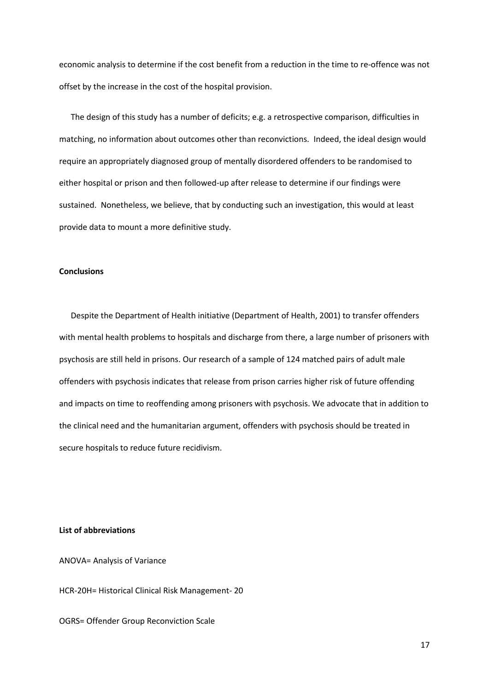economic analysis to determine if the cost benefit from a reduction in the time to re-offence was not offset by the increase in the cost of the hospital provision.

The design of this study has a number of deficits; e.g. a retrospective comparison, difficulties in matching, no information about outcomes other than reconvictions. Indeed, the ideal design would require an appropriately diagnosed group of mentally disordered offenders to be randomised to either hospital or prison and then followed-up after release to determine if our findings were sustained. Nonetheless, we believe, that by conducting such an investigation, this would at least provide data to mount a more definitive study.

### **Conclusions**

Despite the Department of Health initiative (Department of Health, 2001) to transfer offenders with mental health problems to hospitals and discharge from there, a large number of prisoners with psychosis are still held in prisons. Our research of a sample of 124 matched pairs of adult male offenders with psychosis indicates that release from prison carries higher risk of future offending and impacts on time to reoffending among prisoners with psychosis. We advocate that in addition to the clinical need and the humanitarian argument, offenders with psychosis should be treated in secure hospitals to reduce future recidivism.

## **List of abbreviations**

ANOVA= Analysis of Variance

HCR-20H= Historical Clinical Risk Management- 20

OGRS= Offender Group Reconviction Scale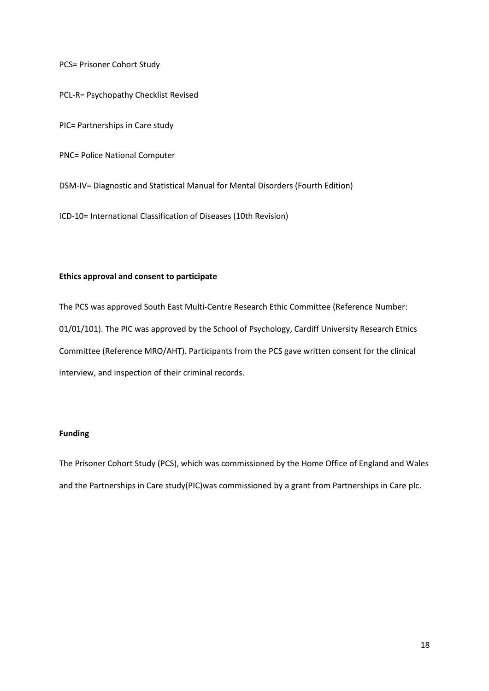PCS= Prisoner Cohort Study

PCL-R= Psychopathy Checklist Revised

PIC= Partnerships in Care study

PNC= Police National Computer

DSM-IV= Diagnostic and Statistical Manual for Mental Disorders (Fourth Edition)

ICD-10= International Classification of Diseases (10th Revision)

## **Ethics approval and consent to participate**

The PCS was approved South East Multi-Centre Research Ethic Committee (Reference Number: 01/01/101). The PIC was approved by the School of Psychology, Cardiff University Research Ethics Committee (Reference MRO/AHT). Participants from the PCS gave written consent for the clinical interview, and inspection of their criminal records.

## **Funding**

The Prisoner Cohort Study (PCS), which was commissioned by the Home Office of England and Wales and the Partnerships in Care study(PIC)was commissioned by a grant from Partnerships in Care plc.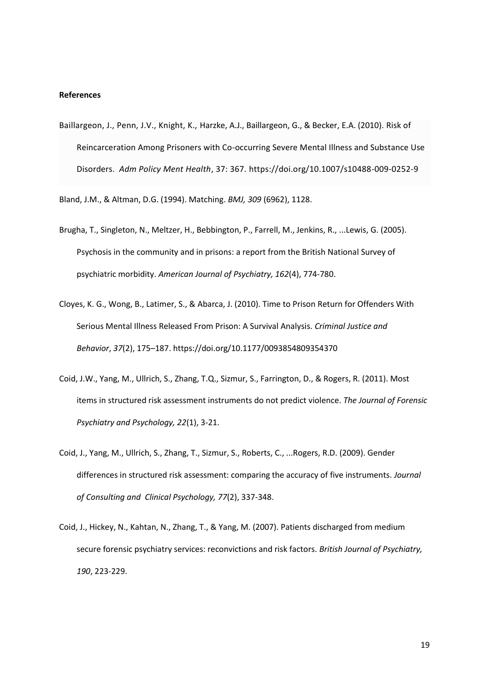## **References**

Baillargeon, J., Penn, J.V., Knight, K., Harzke, A.J., Baillargeon, G., & Becker, E.A. (2010). Risk of Reincarceration Among Prisoners with Co-occurring Severe Mental Illness and Substance Use Disorders. *Adm Policy Ment Health*, 37: 367. https://doi.org/10.1007/s10488-009-0252-9

Bland, J.M., & Altman, D.G. (1994). Matching. *BMJ, 309* (6962), 1128.

- Brugha, T., Singleton, N., Meltzer, H., Bebbington, P., Farrell, M., Jenkins, R., ...Lewis, G. (2005). Psychosis in the community and in prisons: a report from the British National Survey of psychiatric morbidity. *American Journal of Psychiatry, 162*(4), 774-780.
- Cloyes, K. G., Wong, B., Latimer, S., & Abarca, J. (2010). Time to Prison Return for Offenders With Serious Mental Illness Released From Prison: A Survival Analysis. *Criminal Justice and Behavior*, *37*(2), 175–187. https://doi.org/10.1177/0093854809354370
- Coid, J.W., Yang, M., Ullrich, S., Zhang, T.Q., Sizmur, S., Farrington, D., & Rogers, R. (2011). Most items in structured risk assessment instruments do not predict violence. *The Journal of Forensic Psychiatry and Psychology, 22*(1), 3-21.
- Coid, J., Yang, M., Ullrich, S., Zhang, T., Sizmur, S., Roberts, C., ...Rogers, R.D. (2009). Gender differences in structured risk assessment: comparing the accuracy of five instruments. *Journal of Consulting and Clinical Psychology, 77*(2), 337-348.
- Coid, J., Hickey, N., Kahtan, N., Zhang, T., & Yang, M. (2007). Patients discharged from medium secure forensic psychiatry services: reconvictions and risk factors. *British Journal of Psychiatry, 190*, 223-229.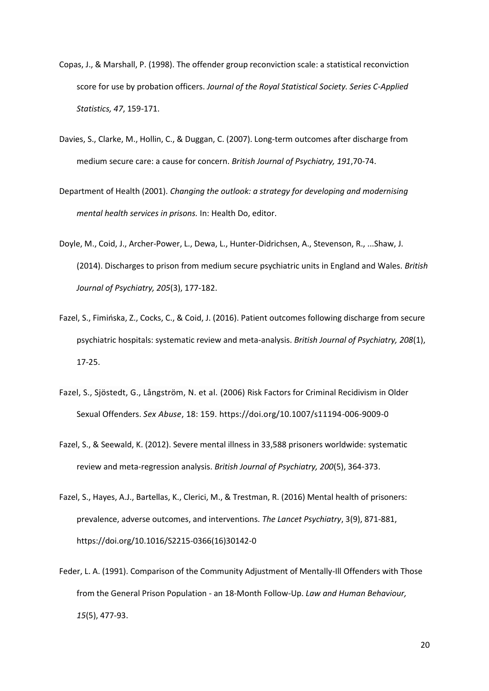- Copas, J., & Marshall, P. (1998). The offender group reconviction scale: a statistical reconviction score for use by probation officers. *Journal of the Royal Statistical Society. Series C-Applied Statistics, 47*, 159-171.
- Davies, S., Clarke, M., Hollin, C., & Duggan, C. (2007). Long-term outcomes after discharge from medium secure care: a cause for concern. *British Journal of Psychiatry, 191*,70-74.
- Department of Health (2001). *Changing the outlook: a strategy for developing and modernising mental health services in prisons.* In: Health Do, editor.
- Doyle, M., Coid, J., Archer-Power, L., Dewa, L., Hunter-Didrichsen, A., Stevenson, R., ...Shaw, J. (2014). Discharges to prison from medium secure psychiatric units in England and Wales. *British Journal of Psychiatry, 205*(3), 177-182.
- Fazel, S., Fimińska, Z., Cocks, C., & Coid, J. (2016). Patient outcomes following discharge from secure psychiatric hospitals: systematic review and meta-analysis. *British Journal of Psychiatry, 208*(1), 17-25.
- Fazel, S., Sjöstedt, G., Långström, N. et al. (2006) Risk Factors for Criminal Recidivism in Older Sexual Offenders. *Sex Abuse*, 18: 159. https://doi.org/10.1007/s11194-006-9009-0
- Fazel, S., & Seewald, K. (2012). Severe mental illness in 33,588 prisoners worldwide: systematic review and meta-regression analysis. *British Journal of Psychiatry, 200*(5), 364-373.
- Fazel, S., Hayes, A.J., Bartellas, K., Clerici, M., & Trestman, R. (2016) Mental health of prisoners: prevalence, adverse outcomes, and interventions. *The Lancet Psychiatry*, 3(9), 871-881, https://doi.org/10.1016/S2215-0366(16)30142-0
- Feder, L. A. (1991). Comparison of the Community Adjustment of Mentally-Ill Offenders with Those from the General Prison Population - an 18-Month Follow-Up. *Law and Human Behaviour, 15*(5), 477-93.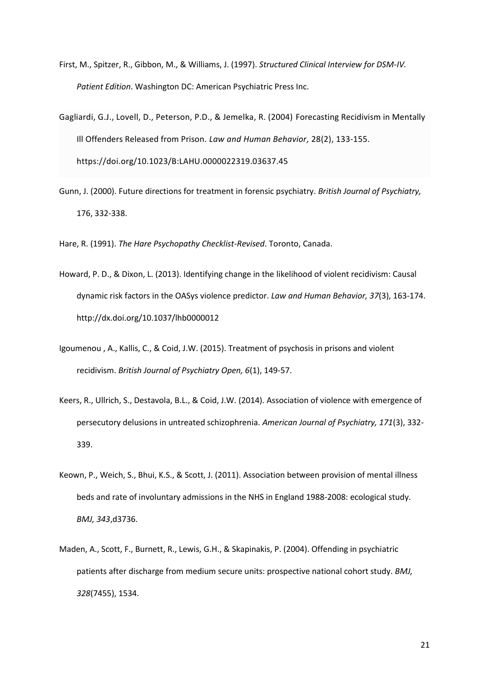- First, M., Spitzer, R., Gibbon, M., & Williams, J. (1997). *Structured Clinical Interview for DSM-IV. Patient Edition*. Washington DC: American Psychiatric Press Inc.
- Gagliardi, G.J., Lovell, D., Peterson, P.D., & Jemelka, R. (2004) Forecasting Recidivism in Mentally Ill Offenders Released from Prison. *Law and Human Behavior,* 28(2), 133-155. https://doi.org/10.1023/B:LAHU.0000022319.03637.45
- Gunn, J. (2000). Future directions for treatment in forensic psychiatry. *British Journal of Psychiatry,*  176, 332-338.

Hare, R. (1991). *The Hare Psychopathy Checklist-Revised*. Toronto, Canada.

- Howard, P. D., & Dixon, L. (2013). Identifying change in the likelihood of violent recidivism: Causal dynamic risk factors in the OASys violence predictor. *Law and Human Behavior, 37*(3), 163-174. http://dx.doi.org/10.1037/lhb0000012
- Igoumenou , A., Kallis, C., & Coid, J.W. (2015). Treatment of psychosis in prisons and violent recidivism. *British Journal of Psychiatry Open, 6*(1), 149-57.
- Keers, R., Ullrich, S., Destavola, B.L., & Coid, J.W. (2014). Association of violence with emergence of persecutory delusions in untreated schizophrenia. *American Journal of Psychiatry, 171*(3), 332- 339.
- Keown, P., Weich, S., Bhui, K.S., & Scott, J. (2011). Association between provision of mental illness beds and rate of involuntary admissions in the NHS in England 1988-2008: ecological study. *BMJ, 343*,d3736.
- Maden, A., Scott, F., Burnett, R., Lewis, G.H., & Skapinakis, P. (2004). Offending in psychiatric patients after discharge from medium secure units: prospective national cohort study. *BMJ, 328*(7455), 1534.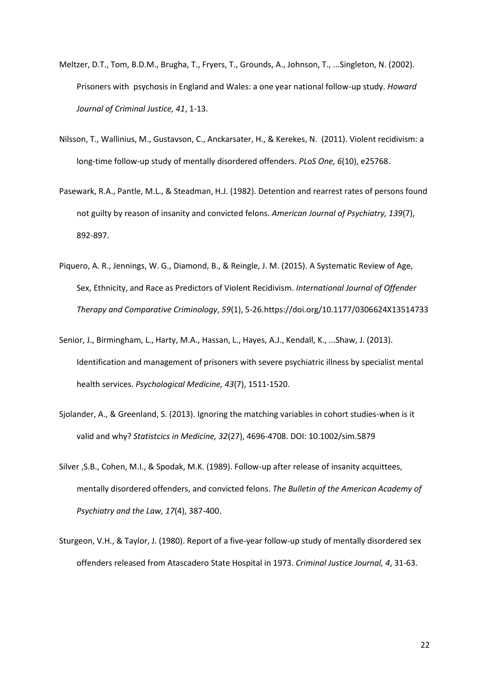- Meltzer, D.T., Tom, B.D.M., Brugha, T., Fryers, T., Grounds, A., Johnson, T., ...Singleton, N. (2002). Prisoners with psychosis in England and Wales: a one year national follow-up study. *Howard Journal of Criminal Justice, 41*, 1-13.
- Nilsson, T., Wallinius, M., Gustavson, C., Anckarsater, H., & Kerekes, N. (2011). Violent recidivism: a long-time follow-up study of mentally disordered offenders. *PLoS One, 6*(10), e25768.
- Pasewark, R.A., Pantle, M.L., & Steadman, H.J. (1982). Detention and rearrest rates of persons found not guilty by reason of insanity and convicted felons. *American Journal of Psychiatry, 139*(7), 892-897.
- Piquero, A. R., Jennings, W. G., Diamond, B., & Reingle, J. M. (2015). A Systematic Review of Age, Sex, Ethnicity, and Race as Predictors of Violent Recidivism. *International Journal of Offender Therapy and Comparative Criminology*, *59*(1), 5-26.https://doi.org/10.1177/0306624X13514733
- Senior, J., Birmingham, L., Harty, M.A., Hassan, L., Hayes, A.J., Kendall, K., ...Shaw, J. (2013). Identification and management of prisoners with severe psychiatric illness by specialist mental health services. *Psychological Medicine, 43*(7), 1511-1520.
- Sjolander, A., & Greenland, S. (2013). Ignoring the matching variables in cohort studies-when is it valid and why? *Statistcics in Medicine, 32*(27), 4696-4708. DOI: 10.1002/sim.5879
- Silver ,S.B., Cohen, M.I., & Spodak, M.K. (1989). Follow-up after release of insanity acquittees, mentally disordered offenders, and convicted felons. *The Bulletin of the American Academy of Psychiatry and the Law, 17*(4), 387-400.
- Sturgeon, V.H., & Taylor, J. (1980). Report of a five-year follow-up study of mentally disordered sex offenders released from Atascadero State Hospital in 1973. *Criminal Justice Journal, 4*, 31-63.